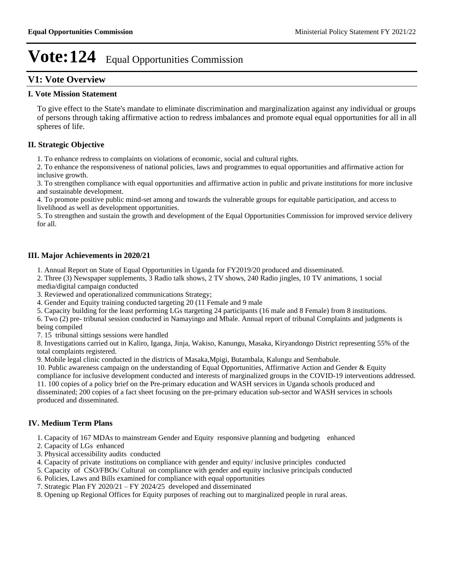# **V1: Vote Overview**

#### **I. Vote Mission Statement**

To give effect to the State's mandate to eliminate discrimination and marginalization against any individual or groups of persons through taking affirmative action to redress imbalances and promote equal equal opportunities for all in all spheres of life.

## **II. Strategic Objective**

1. To enhance redress to complaints on violations of economic, social and cultural rights.

2. To enhance the responsiveness of national policies, laws and programmes to equal opportunities and affirmative action for inclusive growth.

3. To strengthen compliance with equal opportunities and affirmative action in public and private institutions for more inclusive and sustainable development.

4. To promote positive public mind-set among and towards the vulnerable groups for equitable participation, and access to livelihood as well as development opportunities.

5. To strengthen and sustain the growth and development of the Equal Opportunities Commission for improved service delivery for all.

### **III. Major Achievements in 2020/21**

1. Annual Report on State of Equal Opportunities in Uganda for FY2019/20 produced and disseminated.

2. Three (3) Newspaper supplements, 3 Radio talk shows, 2 TV shows, 240 Radio jingles, 10 TV animations, 1 social media/digital campaign conducted

3. Reviewed and operationalized communications Strategy;

4. Gender and Equity training conducted targeting 20 (11 Female and 9 male

5. Capacity building for the least performing LGs ttargeting 24 participants (16 male and 8 Female) from 8 institutions.

6. Two (2) pre- tribunal session conducted in Namayingo and Mbale. Annual report of tribunal Complaints and judgments is being compiled

7. 15 tribunal sittings sessions were handled

8. Investigations carried out in Kaliro, Iganga, Jinja, Wakiso, Kanungu, Masaka, Kiryandongo District representing 55% of the total complaints registered.

9. Mobile legal clinic conducted in the districts of Masaka,Mpigi, Butambala, Kalungu and Sembabule.

10. Public awareness campaign on the understanding of Equal Opportunities, Affirmative Action and Gender & Equity compliance for inclusive development conducted and interests of marginalized groups in the COVID-19 interventions addressed. 11. 100 copies of a policy brief on the Pre-primary education and WASH services in Uganda schools produced and

disseminated; 200 copies of a fact sheet focusing on the pre-primary education sub-sector and WASH services in schools produced and disseminated.

# **IV. Medium Term Plans**

1. Capacity of 167 MDAs to mainstream Gender and Equity responsive planning and budgeting enhanced

- 2. Capacity of LGs enhanced
- 3. Physical accessibility audits conducted
- 4. Capacity of private institutions on compliance with gender and equity/ inclusive principles conducted
- 5. Capacity of CSO/FBOs/ Cultural on compliance with gender and equity inclusive principals conducted
- 6. Policies, Laws and Bills examined for compliance with equal opportunities
- 7. Strategic Plan FY 2020/21 FY 2024/25 developed and disseminated
- 8. Opening up Regional Offices for Equity purposes of reaching out to marginalized people in rural areas.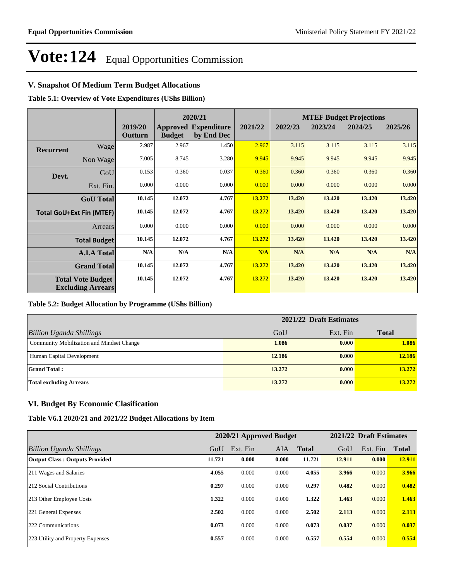## **V. Snapshot Of Medium Term Budget Allocations**

**Table 5.1: Overview of Vote Expenditures (UShs Billion)**

|                  |                                                      |                    |               | 2020/21                                   |         |         |         | <b>MTEF Budget Projections</b> |         |
|------------------|------------------------------------------------------|--------------------|---------------|-------------------------------------------|---------|---------|---------|--------------------------------|---------|
|                  |                                                      | 2019/20<br>Outturn | <b>Budget</b> | <b>Approved Expenditure</b><br>by End Dec | 2021/22 | 2022/23 | 2023/24 | 2024/25                        | 2025/26 |
| <b>Recurrent</b> | Wage                                                 | 2.987              | 2.967         | 1.450                                     | 2.967   | 3.115   | 3.115   | 3.115                          | 3.115   |
|                  | Non Wage                                             | 7.005              | 8.745         | 3.280                                     | 9.945   | 9.945   | 9.945   | 9.945                          | 9.945   |
| Devt.            | GoU                                                  | 0.153              | 0.360         | 0.037                                     | 0.360   | 0.360   | 0.360   | 0.360                          | 0.360   |
|                  | Ext. Fin.                                            | 0.000              | 0.000         | 0.000                                     | 0.000   | 0.000   | 0.000   | 0.000                          | 0.000   |
|                  | <b>GoU</b> Total                                     | 10.145             | 12.072        | 4.767                                     | 13.272  | 13.420  | 13.420  | 13.420                         | 13.420  |
|                  | <b>Total GoU+Ext Fin (MTEF)</b>                      | 10.145             | 12.072        | 4.767                                     | 13.272  | 13.420  | 13.420  | 13.420                         | 13.420  |
|                  | <b>Arrears</b>                                       | 0.000              | 0.000         | 0.000                                     | 0.000   | 0.000   | 0.000   | 0.000                          | 0.000   |
|                  | <b>Total Budget</b>                                  | 10.145             | 12.072        | 4.767                                     | 13.272  | 13.420  | 13.420  | 13.420                         | 13.420  |
|                  | <b>A.I.A Total</b>                                   | N/A                | N/A           | N/A                                       | N/A     | N/A     | N/A     | N/A                            | N/A     |
|                  | <b>Grand Total</b>                                   | 10.145             | 12.072        | 4.767                                     | 13.272  | 13.420  | 13.420  | 13.420                         | 13.420  |
|                  | <b>Total Vote Budget</b><br><b>Excluding Arrears</b> | 10.145             | 12.072        | 4.767                                     | 13.272  | 13.420  | 13.420  | 13.420                         | 13.420  |

#### **Table 5.2: Budget Allocation by Programme (UShs Billion)**

|                                           | 2021/22 Draft Estimates |          |              |
|-------------------------------------------|-------------------------|----------|--------------|
| <b>Billion Uganda Shillings</b>           | GoU                     | Ext. Fin | <b>Total</b> |
| Community Mobilization and Mindset Change | 1.086                   | 0.000    | 1.086        |
| Human Capital Development                 | 12.186                  | 0.000    | 12.186       |
| <b>Grand Total:</b>                       | 13.272                  | 0.000    | 13.272       |
| <b>Total excluding Arrears</b>            | 13.272                  | 0.000    | 13.272       |

## **VI. Budget By Economic Clasification**

#### **Table V6.1 2020/21 and 2021/22 Budget Allocations by Item**

|                                       |        |          | 2020/21 Approved Budget |              |        | 2021/22 Draft Estimates |              |
|---------------------------------------|--------|----------|-------------------------|--------------|--------|-------------------------|--------------|
| Billion Uganda Shillings              | GoU    | Ext. Fin | AIA                     | <b>Total</b> | GoU    | Ext. Fin                | <b>Total</b> |
| <b>Output Class: Outputs Provided</b> | 11.721 | 0.000    | 0.000                   | 11.721       | 12.911 | 0.000                   | 12.911       |
| 211 Wages and Salaries                | 4.055  | 0.000    | 0.000                   | 4.055        | 3.966  | 0.000                   | 3.966        |
| 212 Social Contributions              | 0.297  | 0.000    | 0.000                   | 0.297        | 0.482  | 0.000                   | 0.482        |
| 213 Other Employee Costs              | 1.322  | 0.000    | 0.000                   | 1.322        | 1.463  | 0.000                   | 1.463        |
| 221 General Expenses                  | 2.502  | 0.000    | 0.000                   | 2.502        | 2.113  | 0.000                   | 2.113        |
| 222 Communications                    | 0.073  | 0.000    | 0.000                   | 0.073        | 0.037  | 0.000                   | 0.037        |
| 223 Utility and Property Expenses     | 0.557  | 0.000    | 0.000                   | 0.557        | 0.554  | 0.000                   | 0.554        |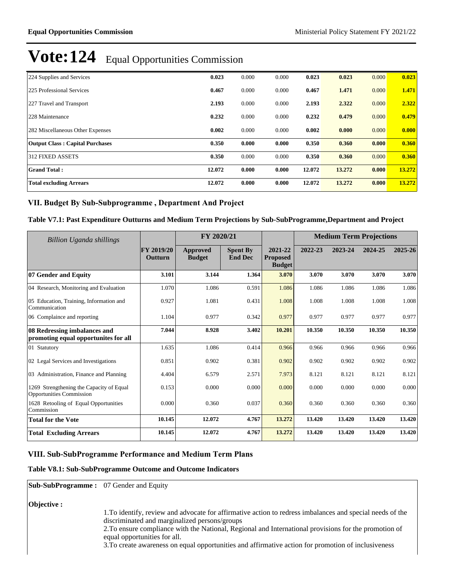| 224 Supplies and Services              | 0.023  | 0.000 | 0.000 | 0.023  | 0.023  | 0.000 | 0.023  |
|----------------------------------------|--------|-------|-------|--------|--------|-------|--------|
| 225 Professional Services              | 0.467  | 0.000 | 0.000 | 0.467  | 1.471  | 0.000 | 1.471  |
| 227 Travel and Transport               | 2.193  | 0.000 | 0.000 | 2.193  | 2.322  | 0.000 | 2.322  |
| 228 Maintenance                        | 0.232  | 0.000 | 0.000 | 0.232  | 0.479  | 0.000 | 0.479  |
| 282 Miscellaneous Other Expenses       | 0.002  | 0.000 | 0.000 | 0.002  | 0.000  | 0.000 | 0.000  |
| <b>Output Class: Capital Purchases</b> | 0.350  | 0.000 | 0.000 | 0.350  | 0.360  | 0.000 | 0.360  |
| 312 FIXED ASSETS                       | 0.350  | 0.000 | 0.000 | 0.350  | 0.360  | 0.000 | 0.360  |
| <b>Grand Total:</b>                    | 12.072 | 0.000 | 0.000 | 12.072 | 13.272 | 0.000 | 13.272 |
| <b>Total excluding Arrears</b>         | 12.072 | 0.000 | 0.000 | 12.072 | 13.272 | 0.000 | 13.272 |

### VII. Budget By Sub-Subprogramme, Department And Project

**Table V7.1: Past Expenditure Outturns and Medium Term Projections by Sub-SubProgramme,Department and Project**

| Billion Uganda shillings                                                    |                              | FY 2020/21                |                                   | <b>Medium Term Projections</b>              |         |         |         |         |
|-----------------------------------------------------------------------------|------------------------------|---------------------------|-----------------------------------|---------------------------------------------|---------|---------|---------|---------|
|                                                                             | <b>FY 2019/20</b><br>Outturn | Approved<br><b>Budget</b> | <b>Spent By</b><br><b>End Dec</b> | 2021-22<br><b>Proposed</b><br><b>Budget</b> | 2022-23 | 2023-24 | 2024-25 | 2025-26 |
| 07 Gender and Equity                                                        | 3.101                        | 3.144                     | 1.364                             | 3.070                                       | 3.070   | 3.070   | 3.070   | 3.070   |
| 04 Research, Monitoring and Evaluation                                      | 1.070                        | 1.086                     | 0.591                             | 1.086                                       | 1.086   | 1.086   | 1.086   | 1.086   |
| 05 Education, Training, Information and<br>Communication                    | 0.927                        | 1.081                     | 0.431                             | 1.008                                       | 1.008   | 1.008   | 1.008   | 1.008   |
| 06 Complaince and reporting                                                 | 1.104                        | 0.977                     | 0.342                             | 0.977                                       | 0.977   | 0.977   | 0.977   | 0.977   |
| 08 Redressing imbalances and<br>promoting equal opportunities for all       | 7.044                        | 8.928                     | 3.402                             | 10.201                                      | 10.350  | 10.350  | 10.350  | 10.350  |
| 01 Statutory                                                                | 1.635                        | 1.086                     | 0.414                             | 0.966                                       | 0.966   | 0.966   | 0.966   | 0.966   |
| 02 Legal Services and Investigations                                        | 0.851                        | 0.902                     | 0.381                             | 0.902                                       | 0.902   | 0.902   | 0.902   | 0.902   |
| 03 Administration, Finance and Planning                                     | 4.404                        | 6.579                     | 2.571                             | 7.973                                       | 8.121   | 8.121   | 8.121   | 8.121   |
| 1269 Strengthening the Capacity of Equal<br><b>Opportunities Commission</b> | 0.153                        | 0.000                     | 0.000                             | 0.000                                       | 0.000   | 0.000   | 0.000   | 0.000   |
| 1628 Retooling of Equal Opportunities<br>Commission                         | 0.000                        | 0.360                     | 0.037                             | 0.360                                       | 0.360   | 0.360   | 0.360   | 0.360   |
| <b>Total for the Vote</b>                                                   | 10.145                       | 12.072                    | 4.767                             | 13.272                                      | 13.420  | 13.420  | 13.420  | 13.420  |
| <b>Total Excluding Arrears</b>                                              | 10.145                       | 12.072                    | 4.767                             | 13.272                                      | 13.420  | 13.420  | 13.420  | 13.420  |

# **VIII. Sub-SubProgramme Performance and Medium Term Plans**

#### **Table V8.1: Sub-SubProgramme Outcome and Outcome Indicators**

**Sub-SubProgramme :** 07 Gender and Equity

**Objective :**

- 1.To identify, review and advocate for affirmative action to redress imbalances and special needs of the discriminated and marginalized persons/groups
	- 2.To ensure compliance with the National, Regional and International provisions for the promotion of equal opportunities for all.
	- 3.To create awareness on equal opportunities and affirmative action for promotion of inclusiveness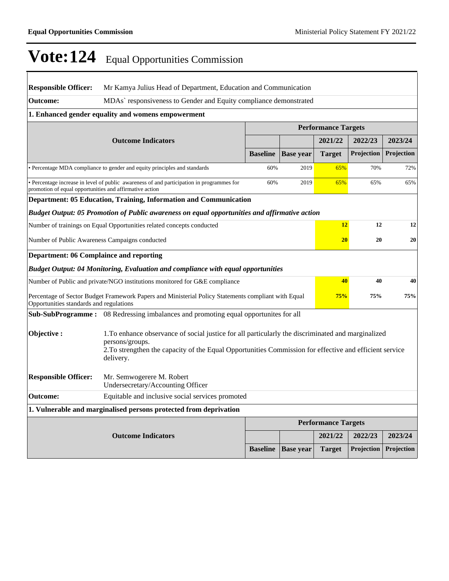| <b>Responsible Officer:</b>                                                                                                                                                                                                                                 | Mr Kamya Julius Head of Department, Education and Communication                                     |                 |                  |                            |            |            |  |  |  |
|-------------------------------------------------------------------------------------------------------------------------------------------------------------------------------------------------------------------------------------------------------------|-----------------------------------------------------------------------------------------------------|-----------------|------------------|----------------------------|------------|------------|--|--|--|
| <b>Outcome:</b>                                                                                                                                                                                                                                             | MDAs' responsiveness to Gender and Equity compliance demonstrated                                   |                 |                  |                            |            |            |  |  |  |
|                                                                                                                                                                                                                                                             | 1. Enhanced gender equality and womens empowerment                                                  |                 |                  |                            |            |            |  |  |  |
|                                                                                                                                                                                                                                                             |                                                                                                     |                 |                  | <b>Performance Targets</b> |            |            |  |  |  |
|                                                                                                                                                                                                                                                             | <b>Outcome Indicators</b>                                                                           |                 |                  | 2021/22                    | 2022/23    | 2023/24    |  |  |  |
|                                                                                                                                                                                                                                                             |                                                                                                     | <b>Baseline</b> | <b>Base year</b> | <b>Target</b>              | Projection | Projection |  |  |  |
|                                                                                                                                                                                                                                                             | • Percentage MDA compliance to gender and equity principles and standards                           | 60%             | 2019             | 65%                        | 70%        | 72%        |  |  |  |
| • Percentage increase in level of public awareness of and participation in programmes for<br>promotion of equal opportunities and affirmative action                                                                                                        | 60%                                                                                                 | 2019            | 65%              | 65%                        | 65%        |            |  |  |  |
|                                                                                                                                                                                                                                                             | Department: 05 Education, Training, Information and Communication                                   |                 |                  |                            |            |            |  |  |  |
|                                                                                                                                                                                                                                                             | Budget Output: 05 Promotion of Public awareness on equal opportunities and affirmative action       |                 |                  |                            |            |            |  |  |  |
| Number of trainings on Equal Opportunities related concepts conducted                                                                                                                                                                                       | 12                                                                                                  | 12              | 12               |                            |            |            |  |  |  |
| Number of Public Awareness Campaigns conducted                                                                                                                                                                                                              |                                                                                                     | 20              | 20               | 20                         |            |            |  |  |  |
| <b>Department: 06 Complaince and reporting</b>                                                                                                                                                                                                              |                                                                                                     |                 |                  |                            |            |            |  |  |  |
|                                                                                                                                                                                                                                                             | <b>Budget Output: 04 Monitoring, Evaluation and compliance with equal opportunities</b>             |                 |                  |                            |            |            |  |  |  |
|                                                                                                                                                                                                                                                             | Number of Public and private/NGO institutions monitored for G&E compliance                          |                 |                  | 40                         | 40         | 40         |  |  |  |
| Opportunities standards and regulations                                                                                                                                                                                                                     | Percentage of Sector Budget Framework Papers and Ministerial Policy Statements compliant with Equal |                 |                  | 75%                        | 75%        | 75%        |  |  |  |
|                                                                                                                                                                                                                                                             | <b>Sub-SubProgramme:</b> 08 Redressing imbalances and promoting equal opportunites for all          |                 |                  |                            |            |            |  |  |  |
| Objective:<br>1. To enhance observance of social justice for all particularly the discriminated and marginalized<br>persons/groups.<br>2. To strengthen the capacity of the Equal Opportunities Commission for effective and efficient service<br>delivery. |                                                                                                     |                 |                  |                            |            |            |  |  |  |
| <b>Responsible Officer:</b>                                                                                                                                                                                                                                 | Mr. Semwogerere M. Robert<br>Undersecretary/Accounting Officer                                      |                 |                  |                            |            |            |  |  |  |
| Outcome:                                                                                                                                                                                                                                                    | Equitable and inclusive social services promoted                                                    |                 |                  |                            |            |            |  |  |  |
|                                                                                                                                                                                                                                                             | 1. Vulnerable and marginalised persons protected from deprivation                                   |                 |                  |                            |            |            |  |  |  |
|                                                                                                                                                                                                                                                             |                                                                                                     |                 |                  | <b>Performance Targets</b> |            |            |  |  |  |
|                                                                                                                                                                                                                                                             | <b>Outcome Indicators</b>                                                                           |                 |                  | 2021/22                    | 2022/23    | 2023/24    |  |  |  |
|                                                                                                                                                                                                                                                             |                                                                                                     | <b>Baseline</b> | <b>Base year</b> | <b>Target</b>              | Projection | Projection |  |  |  |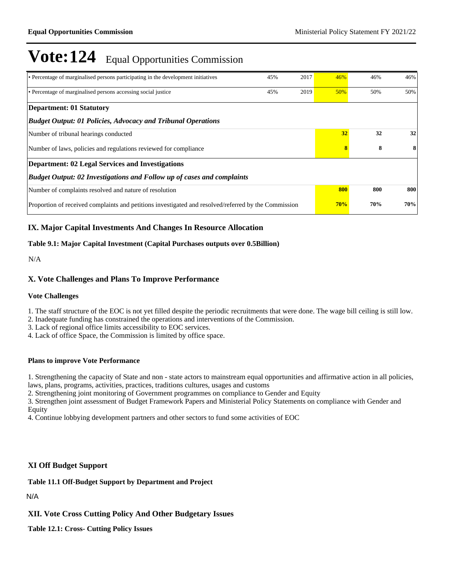| • Percentage of marginalised persons participating in the development initiatives                    | 45% | 2017 | 46% | 46% | 46% |
|------------------------------------------------------------------------------------------------------|-----|------|-----|-----|-----|
| • Percentage of marginalised persons accessing social justice                                        | 45% | 2019 | 50% | 50% | 50% |
| Department: 01 Statutory                                                                             |     |      |     |     |     |
| <b>Budget Output: 01 Policies, Advocacy and Tribunal Operations</b>                                  |     |      |     |     |     |
| Number of tribunal hearings conducted                                                                |     |      | 32  | 32  | 32  |
| Number of laws, policies and regulations reviewed for compliance                                     |     | 8    | 8   |     |     |
| <b>Department: 02 Legal Services and Investigations</b>                                              |     |      |     |     |     |
| <b>Budget Output: 02 Investigations and Follow up of cases and complaints</b>                        |     |      |     |     |     |
| Number of complaints resolved and nature of resolution                                               |     |      | 800 | 800 | 800 |
| Proportion of received complaints and petitions investigated and resolved/referred by the Commission |     |      | 70% | 70% | 70% |

# **IX. Major Capital Investments And Changes In Resource Allocation**

### **Table 9.1: Major Capital Investment (Capital Purchases outputs over 0.5Billion)**

N/A

## **X. Vote Challenges and Plans To Improve Performance**

#### **Vote Challenges**

1. The staff structure of the EOC is not yet filled despite the periodic recruitments that were done. The wage bill ceiling is still low.

2. Inadequate funding has constrained the operations and interventions of the Commission.

3. Lack of regional office limits accessibility to EOC services.

4. Lack of office Space, the Commission is limited by office space.

### **Plans to improve Vote Performance**

1. Strengthening the capacity of State and non - state actors to mainstream equal opportunities and affirmative action in all policies, laws, plans, programs, activities, practices, traditions cultures, usages and customs

2. Strengthening joint monitoring of Government programmes on compliance to Gender and Equity

3. Strengthen joint assessment of Budget Framework Papers and Ministerial Policy Statements on compliance with Gender and Equity

4. Continue lobbying development partners and other sectors to fund some activities of EOC

### **XI Off Budget Support**

# **Table 11.1 Off-Budget Support by Department and Project**

N/A

### **XII. Vote Cross Cutting Policy And Other Budgetary Issues**

**Table 12.1: Cross- Cutting Policy Issues**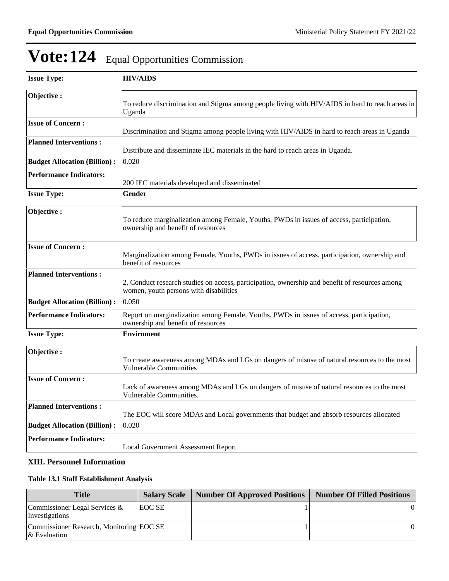| <b>Issue Type:</b>                  | <b>HIV/AIDS</b>                                                                                                                          |
|-------------------------------------|------------------------------------------------------------------------------------------------------------------------------------------|
| Objective:                          | To reduce discrimination and Stigma among people living with HIV/AIDS in hard to reach areas in<br>Uganda                                |
| <b>Issue of Concern:</b>            | Discrimination and Stigma among people living with HIV/AIDS in hard to reach areas in Uganda                                             |
| <b>Planned Interventions:</b>       | Distribute and disseminate IEC materials in the hard to reach areas in Uganda.                                                           |
| <b>Budget Allocation (Billion):</b> | 0.020                                                                                                                                    |
| <b>Performance Indicators:</b>      | 200 IEC materials developed and disseminated                                                                                             |
| <b>Issue Type:</b>                  | Gender                                                                                                                                   |
| Objective:                          | To reduce marginalization among Female, Youths, PWDs in issues of access, participation,<br>ownership and benefit of resources           |
| <b>Issue of Concern:</b>            | Marginalization among Female, Youths, PWDs in issues of access, participation, ownership and<br>benefit of resources                     |
| <b>Planned Interventions:</b>       | 2. Conduct research studies on access, participation, ownership and benefit of resources among<br>women, youth persons with disabilities |
| <b>Budget Allocation (Billion):</b> | 0.050                                                                                                                                    |
| <b>Performance Indicators:</b>      | Report on marginalization among Female, Youths, PWDs in issues of access, participation,<br>ownership and benefit of resources           |
| <b>Issue Type:</b>                  | <b>Enviroment</b>                                                                                                                        |
| Objective:                          | To create awareness among MDAs and LGs on dangers of misuse of natural resources to the most<br><b>Vulnerable Communities</b>            |
| <b>Issue of Concern:</b>            | Lack of awareness among MDAs and LGs on dangers of misuse of natural resources to the most<br>Vulnerable Communities.                    |
| <b>Planned Interventions:</b>       | The EOC will score MDAs and Local governments that budget and absorb resources allocated                                                 |
| <b>Budget Allocation (Billion):</b> | 0.020                                                                                                                                    |
| <b>Performance Indicators:</b>      | <b>Local Government Assessment Report</b>                                                                                                |

# **XIII. Personnel Information**

# **Table 13.1 Staff Establishment Analysis**

| <b>Title</b>                                                | <b>Salary Scale</b> | <b>Number Of Approved Positions</b> | <b>Number Of Filled Positions</b> |
|-------------------------------------------------------------|---------------------|-------------------------------------|-----------------------------------|
| Commissioner Legal Services $\&$<br>Investigations          | EOC SE              |                                     | $\Omega$                          |
| Commissioner Research, Monitoring EOC SE<br>$\&$ Evaluation |                     |                                     | $\Omega$                          |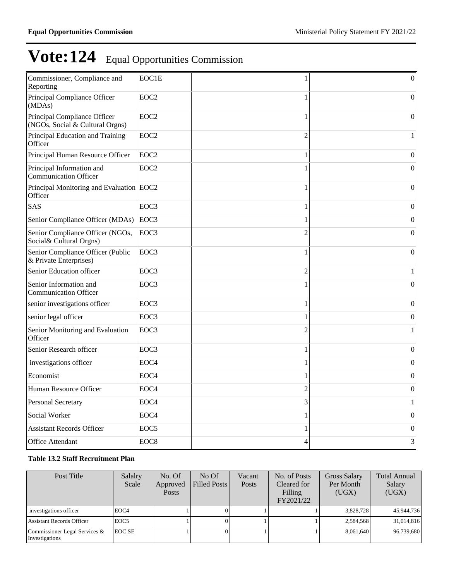| Commissioner, Compliance and<br>Reporting                       | EOC1E            |                | $\overline{0}$   |
|-----------------------------------------------------------------|------------------|----------------|------------------|
| Principal Compliance Officer<br>(MDAs)                          | EOC <sub>2</sub> | 1              | $\theta$         |
| Principal Compliance Officer<br>(NGOs, Social & Cultural Orgns) | EOC <sub>2</sub> | 1              | $\boldsymbol{0}$ |
| Principal Education and Training<br>Officer                     | EOC <sub>2</sub> | $\overline{2}$ | 1                |
| Principal Human Resource Officer                                | EOC <sub>2</sub> | 1              | $\mathbf{0}$     |
| Principal Information and<br><b>Communication Officer</b>       | EOC <sub>2</sub> | 1              | $\theta$         |
| Principal Monitoring and Evaluation EOC2<br>Officer             |                  | 1              | $\boldsymbol{0}$ |
| SAS                                                             | EOC3             | 1              | $\boldsymbol{0}$ |
| Senior Compliance Officer (MDAs)                                | EOC3             | 1              | $\mathbf{0}$     |
| Senior Compliance Officer (NGOs,<br>Social& Cultural Orgns)     | EOC3             | $\overline{2}$ | $\boldsymbol{0}$ |
| Senior Compliance Officer (Public<br>& Private Enterprises)     | EOC3             | 1              | $\mathbf{0}$     |
| Senior Education officer                                        | EOC3             | 2              | 1                |
| Senior Information and<br><b>Communication Officer</b>          | EOC3             | 1              | 0                |
| senior investigations officer                                   | EOC3             | 1              | $\boldsymbol{0}$ |
| senior legal officer                                            | EOC3             | 1              | $\boldsymbol{0}$ |
| Senior Monitoring and Evaluation<br>Officer                     | EOC3             | $\overline{2}$ | 1                |
| Senior Research officer                                         | EOC3             | 1              | $\boldsymbol{0}$ |
| investigations officer                                          | EOC <sub>4</sub> | 1              | $\overline{0}$   |
| Economist                                                       | EOC <sub>4</sub> | 1              | $\boldsymbol{0}$ |
| Human Resource Officer                                          | EOC <sub>4</sub> | $\overline{c}$ | $\boldsymbol{0}$ |
| <b>Personal Secretary</b>                                       | EOC <sub>4</sub> | 3              | 1                |
| Social Worker                                                   | EOC <sub>4</sub> | 1              | $\mathbf{0}$     |
| <b>Assistant Records Officer</b>                                | EOC <sub>5</sub> | 1              | $\boldsymbol{0}$ |
| <b>Office Attendant</b>                                         | EOC <sub>8</sub> | 4              | 3                |
|                                                                 |                  |                |                  |

## **Table 13.2 Staff Recruitment Plan**

| Post Title                                      | Salalry<br>Scale | No. Of<br>Approved<br><b>Posts</b> | No Of<br>Filled Posts | Vacant<br>Posts | No. of Posts<br>Cleared for<br>Filling<br>FY2021/22 | <b>Gross Salary</b><br>Per Month<br>(UGX) | <b>Total Annual</b><br>Salary<br>(UGX) |
|-------------------------------------------------|------------------|------------------------------------|-----------------------|-----------------|-----------------------------------------------------|-------------------------------------------|----------------------------------------|
| investigations officer                          | EOC <sub>4</sub> |                                    |                       |                 |                                                     | 3,828,728                                 | 45,944,736                             |
| <b>Assistant Records Officer</b>                | EOC <sub>5</sub> |                                    |                       |                 |                                                     | 2,584,568                                 | 31,014,816                             |
| Commissioner Legal Services &<br>Investigations | <b>EOC SE</b>    |                                    |                       |                 |                                                     | 8.061.640                                 | 96,739,680                             |